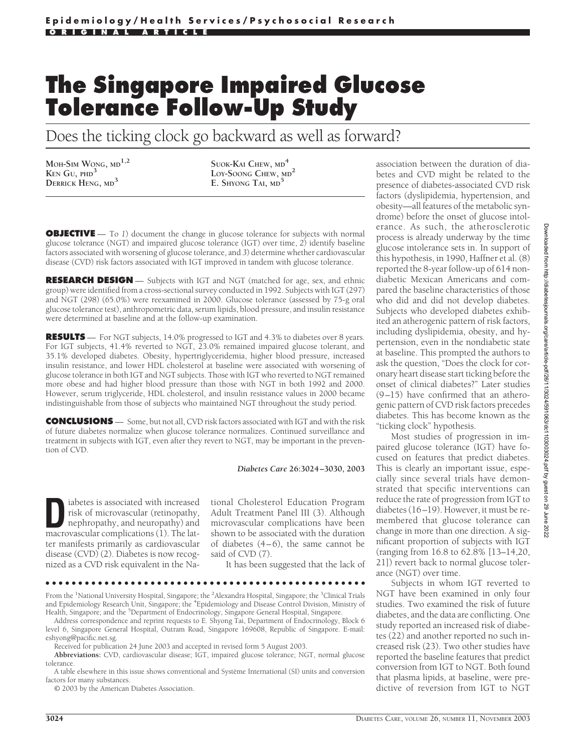# **The Singapore Impaired Glucose Tolerance Follow-Up Study**

Does the ticking clock go backward as well as forward?

**MOH-SIM WONG, MD1,2 KEN GU, PHD<sup>3</sup> DERRICK HENG, MD<sup>3</sup>**

**SUOK-KAI CHEW, MD<sup>4</sup> LOY-SOONG CHEW, MD<sup>2</sup> E. SHYONG TAI, MD<sup>5</sup>**

**OBJECTIVE** — To 1) document the change in glucose tolerance for subjects with normal glucose tolerance (NGT) and impaired glucose tolerance (IGT) over time, *2*) identify baseline factors associated with worsening of glucose tolerance, and *3*) determine whether cardiovascular disease (CVD) risk factors associated with IGT improved in tandem with glucose tolerance.

**RESEARCH DESIGN** — Subjects with IGT and NGT (matched for age, sex, and ethnic group) were identified from a cross-sectional survey conducted in 1992. Subjects with IGT (297) and NGT (298) (65.0%) were reexamined in 2000. Glucose tolerance (assessed by 75-g oral glucose tolerance test), anthropometric data, serum lipids, blood pressure, and insulin resistance were determined at baseline and at the follow-up examination.

**RESULTS** — For NGT subjects, 14.0% progressed to IGT and 4.3% to diabetes over 8 years. For IGT subjects, 41.4% reverted to NGT, 23.0% remained impaired glucose tolerant, and 35.1% developed diabetes. Obesity, hypertriglyceridemia, higher blood pressure, increased insulin resistance, and lower HDL cholesterol at baseline were associated with worsening of glucose tolerance in both IGT and NGT subjects. Those with IGT who reverted to NGT remained more obese and had higher blood pressure than those with NGT in both 1992 and 2000. However, serum triglyceride, HDL cholesterol, and insulin resistance values in 2000 became indistinguishable from those of subjects who maintained NGT throughout the study period.

**CONCLUSIONS** — Some, but not all, CVD risk factors associated with IGT and with the risk of future diabetes normalize when glucose tolerance normalizes. Continued surveillance and treatment in subjects with IGT, even after they revert to NGT, may be important in the prevention of CVD.

*Diabetes Care* **26:3024–3030, 2003**

**D**iabetes is associated with increased<br>
risk of microvascular (retinopathy)<br>
nephropathy, and neuropathy) and<br>
macrovascular complications (1) The latrisk of microvascular (retinopathy, macrovascular complications (1). The latter manifests primarily as cardiovascular disease (CVD) (2). Diabetes is now recognized as a CVD risk equivalent in the Na-

tional Cholesterol Education Program Adult Treatment Panel III (3). Although microvascular complications have been shown to be associated with the duration of diabetes (4–6), the same cannot be said of CVD (7).

It has been suggested that the lack of

●●●●●●●●●●●●●●●●●●●●●●●●●●●●●●●●●●●●●●●●●●●●●●●●●

From the <sup>1</sup>National University Hospital, Singapore; the <sup>2</sup>Alexandra Hospital, Singapore; the <sup>3</sup>Clinical Trials and Epidemiology Research Unit, Singapore; the <sup>4</sup>Epidemiology and Disease Control Division, Ministry of Health, Singapore; and the <sup>5</sup>Department of Endocrinology, Singapore General Hospital, Singapore.

Address correspondence and reprint requests to E. Shyong Tai, Department of Endocrinology, Block 6 level 6, Singapore General Hospital, Outram Road, Singapore 169608, Republic of Singapore. E-mail: eshyong@pacific.net.sg.

Received for publication 24 June 2003 and accepted in revised form 5 August 2003.

**Abbreviations:** CVD, cardiovascular disease; IGT, impaired glucose tolerance; NGT, normal glucose tolerance.

A table elsewhere in this issue shows conventional and Système International (SI) units and conversion factors for many substances.

© 2003 by the American Diabetes Association.

association between the duration of diabetes and CVD might be related to the presence of diabetes-associated CVD risk factors (dyslipidemia, hypertension, and obesity—all features of the metabolic syndrome) before the onset of glucose intolerance. As such, the atherosclerotic process is already underway by the time glucose intolerance sets in. In support of this hypothesis, in 1990, Haffner et al. (8) reported the 8-year follow-up of 614 nondiabetic Mexican Americans and compared the baseline characteristics of those who did and did not develop diabetes. Subjects who developed diabetes exhibited an atherogenic pattern of risk factors, including dyslipidemia, obesity, and hypertension, even in the nondiabetic state at baseline. This prompted the authors to ask the question, "Does the clock for coronary heart disease start ticking before the onset of clinical diabetes?" Later studies (9–15) have confirmed that an atherogenic pattern of CVD risk factors precedes diabetes. This has become known as the "ticking clock" hypothesis.

Most studies of progression in impaired glucose tolerance (IGT) have focused on features that predict diabetes. This is clearly an important issue, especially since several trials have demonstrated that specific interventions can reduce the rate of progression from IGT to diabetes (16–19). However, it must be remembered that glucose tolerance can change in more than one direction. A significant proportion of subjects with IGT (ranging from 16.8 to 62.8% [13–14,20, 21]) revert back to normal glucose tolerance (NGT) over time.

Subjects in whom IGT reverted to NGT have been examined in only four studies. Two examined the risk of future diabetes, and the data are conflicting. One study reported an increased risk of diabetes (22) and another reported no such increased risk (23). Two other studies have reported the baseline features that predict conversion from IGT to NGT. Both found that plasma lipids, at baseline, were predictive of reversion from IGT to NGT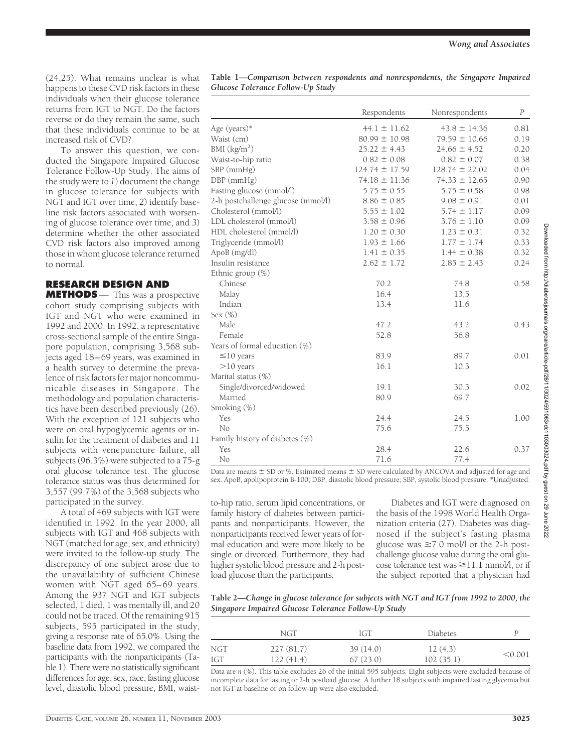(24,25). What remains unclear is what happens to these CVD risk factors in these individuals when their glucose tolerance returns from IGT to NGT. Do the factors reverse or do they remain the same, such that these individuals continue to be at increased risk of CVD?

To answer this question, we conducted the Singapore Impaired Glucose Tolerance Follow-Up Study. The aims of the study were to *1*) document the change in glucose tolerance for subjects with NGT and IGT over time, *2*) identify baseline risk factors associated with worsening of glucose tolerance over time, and *3*) determine whether the other associated CVD risk factors also improved among those in whom glucose tolerance returned to normal.

# **RESEARCH DESIGN AND**

**METHODS** — This was a prospective cohort study comprising subjects with IGT and NGT who were examined in 1992 and 2000. In 1992, a representative cross-sectional sample of the entire Singapore population, comprising 3,568 subjects aged 18–69 years, was examined in a health survey to determine the prevalence of risk factors for major noncommunicable diseases in Singapore. The methodology and population characteristics have been described previously (26). With the exception of 121 subjects who were on oral hypoglycemic agents or insulin for the treatment of diabetes and 11 subjects with venepuncture failure, all subjects (96.3%) were subjected to a 75-g oral glucose tolerance test. The glucose tolerance status was thus determined for 3,557 (99.7%) of the 3,568 subjects who participated in the survey.

A total of 469 subjects with IGT were identified in 1992. In the year 2000, all subjects with IGT and 468 subjects with NGT (matched for age, sex, and ethnicity) were invited to the follow-up study. The discrepancy of one subject arose due to the unavailability of sufficient Chinese women with NGT aged 65–69 years. Among the 937 NGT and IGT subjects selected, 1 died, 1 was mentally ill, and 20 could not be traced. Of the remaining 915 subjects, 595 participated in the study, giving a response rate of 65.0%. Using the baseline data from 1992, we compared the participants with the nonparticipants (Table 1). There were no statistically significant differences for age, sex, race, fasting glucose level, diastolic blood pressure, BMI, waist-

| Table 1—Comparison between respondents and nonrespondents, the Singapore Impaired |  |  |  |
|-----------------------------------------------------------------------------------|--|--|--|
| Glucose Tolerance Follow-Up Study                                                 |  |  |  |

|                                    | Respondents        | Nonrespondents     | $\boldsymbol{P}$ |
|------------------------------------|--------------------|--------------------|------------------|
| Age (years)*                       | $44.1 \pm 11.62$   | $43.8 \pm 14.36$   | 0.81             |
| Waist (cm)                         | $80.99 \pm 10.98$  | $79.59 \pm 10.66$  | 0.19             |
| BMI (kg/m <sup>2</sup> )           | $25.22 \pm 4.43$   | $24.66 \pm 4.52$   | 0.20             |
| Waist-to-hip ratio                 | $0.82 \pm 0.08$    | $0.82 \pm 0.07$    | 0.38             |
| SBP (mmHg)                         | $124.74 \pm 17.59$ | $128.74 \pm 22.02$ | 0.04             |
| DBP (mmHg)                         | $74.18 \pm 11.36$  | $74.33 \pm 12.65$  | 0.90             |
| Fasting glucose (mmol/l)           | $5.75 \pm 0.55$    | $5.75 \pm 0.58$    | 0.98             |
| 2-h postchallenge glucose (mmol/l) | $8.86 \pm 0.85$    | $9.08 \pm 0.91$    | 0.01             |
| Cholesterol (mmol/l)               | $5.55 \pm 1.02$    | $5.74 \pm 1.17$    | 0.09             |
| LDL cholesterol (mmol/l)           | $3.58 \pm 0.96$    | $3.76 \pm 1.10$    | 0.09             |
| HDL cholesterol (mmol/l)           | $1.20 \pm 0.30$    | $1.23 \pm 0.31$    | 0.32             |
| Triglyceride (mmol/l)              | $1.93 \pm 1.66$    | $1.77 \pm 1.74$    | 0.33             |
| ApoB (mg/dl)                       | $1.41 \pm 0.35$    | $1.44 \pm 0.38$    | 0.32             |
| Insulin resistance                 | $2.62 \pm 1.72$    | $2.85 \pm 2.43$    | 0.24             |
| Ethnic group (%)                   |                    |                    |                  |
| Chinese                            | 70.2               | 74.8               | 0.58             |
| Malay                              | 16.4               | 13.5               |                  |
| Indian                             | 13.4               | 11.6               |                  |
| Sex $(\%)$                         |                    |                    |                  |
| Male                               | 47.2               | 43.2               | 0.43             |
| Female                             | 52.8               | 56.8               |                  |
| Years of formal education (%)      |                    |                    |                  |
| $\leq$ 10 years                    | 83.9               | 89.7               | 0.01             |
| $>10$ years                        | 16.1               | 10.3               |                  |
| Marital status (%)                 |                    |                    |                  |
| Single/divorced/widowed            | 19.1               | 30.3               | 0.02             |
| Married                            | 80.9               | 69.7               |                  |
| Smoking (%)                        |                    |                    |                  |
| Yes                                | 24.4               | 24.5               | 1.00             |
| No                                 | 75.6               | 75.5               |                  |
| Family history of diabetes (%)     |                    |                    |                  |
| Yes                                | 28.4               | 22.6               | 0.37             |
| No                                 | 71.6               | 77.4               |                  |

Data are means  $\pm$  SD or %. Estimated means  $\pm$  SD were calculated by ANCOVA and adjusted for age and sex. ApoB, apolipoprotein B-100; DBP, diastolic blood pressure; SBP, systolic blood pressure. \*Unadjusted.

to-hip ratio, serum lipid concentrations, or family history of diabetes between participants and nonparticipants. However, the nonparticipants received fewer years of formal education and were more likely to be single or divorced. Furthermore, they had higher systolic blood pressure and 2-h postload glucose than the participants.

Diabetes and IGT were diagnosed on the basis of the 1998 World Health Organization criteria (27). Diabetes was diagnosed if the subject's fasting plasma glucose was  $\geq 7.0$  mol/l or the 2-h postchallenge glucose value during the oral glucose tolerance test was  $\geq$ 11.1 mmol/l, or if the subject reported that a physician had

**Table 2—***Change in glucose tolerance for subjects with NGT and IGT from 1992 to 2000, the Singapore Impaired Glucose Tolerance Follow-Up Study*

|     | NGT       | IGT      | <b>Diabetes</b> |         |
|-----|-----------|----------|-----------------|---------|
| NGT | 227(81.7) | 39(14.0) | 12(4.3)         | < 0.001 |
| IGT | 122(41.4) | 67(23.0) | 102(35.1)       |         |

Data are *n* (%). This table excludes 26 of the initial 595 subjects. Eight subjects were excluded because of incomplete data for fasting or 2-h postload glucose. A further 18 subjects with impaired fasting glycemia but not IGT at baseline or on follow-up were also excluded.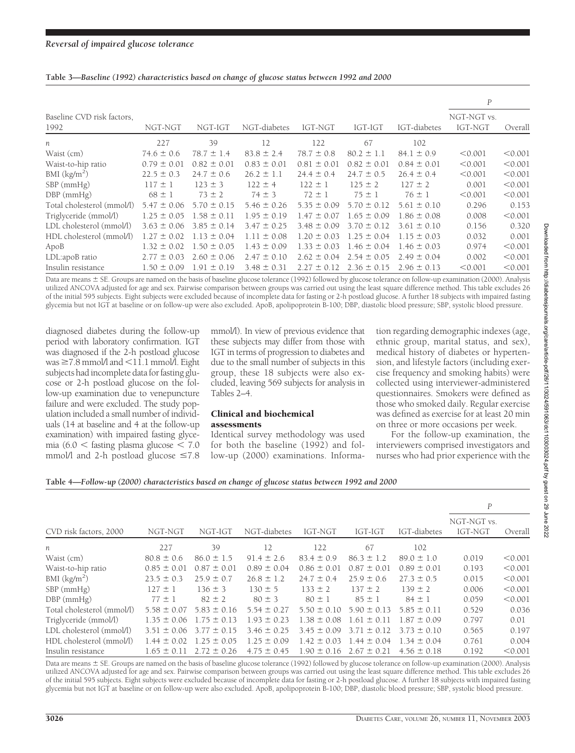|  | Table 3-Baseline (1992) characteristics based on change of glucose status between 1992 and 2000 |  |  |  |  |  |
|--|-------------------------------------------------------------------------------------------------|--|--|--|--|--|
|  |                                                                                                 |  |  |  |  |  |

|                                    |                 |                 |                 |                 |                 |                 | $\boldsymbol{P}$       |         |
|------------------------------------|-----------------|-----------------|-----------------|-----------------|-----------------|-----------------|------------------------|---------|
| Baseline CVD risk factors,<br>1992 | NGT-NGT         | NGT-IGT         | NGT-diabetes    | IGT-NGT         | IGT-IGT         | IGT-diabetes    | NGT-NGT vs.<br>IGT-NGT | Overall |
| n                                  | 227             | 39              | 12              | 122             | 67              | 102             |                        |         |
| Waist (cm)                         | $74.6 \pm 0.6$  | $78.7 \pm 1.4$  | $83.8 \pm 2.4$  | $78.7 \pm 0.8$  | $80.2 \pm 1.1$  | $84.1 \pm 0.9$  | < 0.001                | < 0.001 |
| Waist-to-hip ratio                 | $0.79 \pm 0.01$ | $0.82 \pm 0.01$ | $0.83 \pm 0.01$ | $0.81 \pm 0.01$ | $0.82 \pm 0.01$ | $0.84 \pm 0.01$ | < 0.001                | < 0.001 |
| BMI (kg/m <sup>2</sup> )           | $22.5 \pm 0.3$  | $24.7 \pm 0.6$  | $26.2 \pm 1.1$  | $24.4 \pm 0.4$  | $24.7 \pm 0.5$  | $26.4 \pm 0.4$  | < 0.001                | < 0.001 |
| $SBP$ (mmHg)                       | $117 \pm 1$     | $123 \pm 3$     | $122 \pm 4$     | $122 \pm 1$     | $125 \pm 2$     | $127 \pm 2$     | 0.001                  | < 0.001 |
| $DBP$ (mmHg)                       | $68 \pm 1$      | $73 \pm 2$      | $74 \pm 3$      | $72 \pm 1$      | $75 \pm 1$      | $76 \pm 1$      | < 0.001                | < 0.001 |
| Total cholesterol (mmol/l)         | $5.47 \pm 0.06$ | $5.70 \pm 0.15$ | $5.46 \pm 0.26$ | $5.35 \pm 0.09$ | $5.70 \pm 0.12$ | $5.61 \pm 0.10$ | 0.296                  | 0.153   |
| Triglyceride (mmol/l)              | $1.25 \pm 0.05$ | $1.58 \pm 0.11$ | $1.95 \pm 0.19$ | $1.47 \pm 0.07$ | $1.65 \pm 0.09$ | $1.86 \pm 0.08$ | 0.008                  | < 0.001 |
| LDL cholesterol (mmol/l)           | $3.63 \pm 0.06$ | $3.85 \pm 0.14$ | $3.47 \pm 0.25$ | $3.48 \pm 0.09$ | $3.70 \pm 0.12$ | $3.61 \pm 0.10$ | 0.156                  | 0.320   |
| HDL cholesterol (mmol/l)           | $1.27 \pm 0.02$ | $1.13 \pm 0.04$ | $1.11 \pm 0.08$ | $1.20 \pm 0.03$ | $1.25 \pm 0.04$ | $1.15 \pm 0.03$ | 0.032                  | 0.001   |
| ApoB                               | $1.32 \pm 0.02$ | $1.50 \pm 0.05$ | $1.43 \pm 0.09$ | $1.33 \pm 0.03$ | $1.46 \pm 0.04$ | $1.46 \pm 0.03$ | 0.974                  | < 0.001 |
| LDL:apoB ratio                     | $2.77 \pm 0.03$ | $2.60 \pm 0.06$ | $2.47 \pm 0.10$ | $2.62 \pm 0.04$ | $2.54 \pm 0.05$ | $2.49 \pm 0.04$ | 0.002                  | < 0.001 |
| Insulin resistance                 | $1.50 \pm 0.09$ | $1.91 \pm 0.19$ | $3.48 \pm 0.31$ | $2.27 \pm 0.12$ | $2.36 \pm 0.15$ | $2.96 \pm 0.13$ | < 0.001                | < 0.001 |

Data are means  $\pm$  SE. Groups are named on the basis of baseline glucose tolerance (1992) followed by glucose tolerance on follow-up examination (2000). Analysis utilized ANCOVA adjusted for age and sex. Pairwise comparison between groups was carried out using the least square difference method. This table excludes 26 of the initial 595 subjects. Eight subjects were excluded because of incomplete data for fasting or 2-h postload glucose. A further 18 subjects with impaired fasting glycemia but not IGT at baseline or on follow-up were also excluded. ApoB, apolipoprotein B-100; DBP, diastolic blood pressure; SBP, systolic blood pressure.

diagnosed diabetes during the follow-up period with laboratory confirmation. IGT was diagnosed if the 2-h postload glucose was  $\geq 7.8$  mmol/l and  $\leq 11.1$  mmol/l. Eight subjects had incomplete data for fasting glucose or 2-h postload glucose on the follow-up examination due to venepuncture failure and were excluded. The study population included a small number of individuals (14 at baseline and 4 at the follow-up examination) with impaired fasting glycemia (6.0  $<$  fasting plasma glucose  $<$  7.0 mmol/l and 2-h postload glucose  $\leq 7.8$ 

mmol/l). In view of previous evidence that these subjects may differ from those with IGT in terms of progression to diabetes and due to the small number of subjects in this group, these 18 subjects were also excluded, leaving 569 subjects for analysis in Tables 2–4.

#### Clinical and biochemical assessments

Identical survey methodology was used for both the baseline (1992) and follow-up (2000) examinations. Information regarding demographic indexes (age, ethnic group, marital status, and sex), medical history of diabetes or hypertension, and lifestyle factors (including exercise frequency and smoking habits) were collected using interviewer-administered questionnaires. Smokers were defined as those who smoked daily. Regular exercise was defined as exercise for at least 20 min on three or more occasions per week.

For the follow-up examination, the interviewers comprised investigators and nurses who had prior experience with the

#### **Table 4—***Follow-up (2000) characteristics based on change of glucose status between 1992 and 2000*

|                             |                 |                 |                 |                 |                 |                 | $\boldsymbol{P}$       |         |
|-----------------------------|-----------------|-----------------|-----------------|-----------------|-----------------|-----------------|------------------------|---------|
| CVD risk factors, 2000      | NGT-NGT         | NGT-IGT         | NGT-diabetes    | IGT-NGT         | IGT-IGT         | IGT-diabetes    | NGT-NGT vs.<br>IGT-NGT | Overall |
| n                           | 227             | 39              | 12              | 122             | 67              | 102             |                        |         |
| Waist (cm)                  | $80.8 \pm 0.6$  | $86.0 \pm 1.5$  | $91.4 \pm 2.6$  | $83.4 \pm 0.9$  | $86.3 \pm 1.2$  | $89.0 \pm 1.0$  | 0.019                  | < 0.001 |
| Waist-to-hip ratio          | $0.85 \pm 0.01$ | $0.87 \pm 0.01$ | $0.89 \pm 0.04$ | $0.86 \pm 0.01$ | $0.87 \pm 0.01$ | $0.89 \pm 0.01$ | 0.193                  | < 0.001 |
| BMI $\frac{\text{kg}}{m^2}$ | $23.5 \pm 0.3$  | $25.9 \pm 0.7$  | $26.8 \pm 1.2$  | $24.7 \pm 0.4$  | $25.9 \pm 0.6$  | $27.3 \pm 0.5$  | 0.015                  | < 0.001 |
| $SBP$ (mm $Hg$ )            | $127 \pm 1$     | $136 \pm 3$     | $130 \pm 5$     | $133 \pm 2$     | $137 \pm 2$     | $139 \pm 2$     | 0.006                  | < 0.001 |
| $DBP$ (mmHg)                | $77 \pm 1$      | $82 \pm 2$      | $80 \pm 3$      | $80 \pm 1$      | $85 \pm 1$      | $84 \pm 1$      | 0.059                  | < 0.001 |
| Total cholesterol (mmol/l)  | $5.58 \pm 0.07$ | $5.83 \pm 0.16$ | $5.54 \pm 0.27$ | $5.50 \pm 0.10$ | $5.90 \pm 0.13$ | $5.85 \pm 0.11$ | 0.529                  | 0.036   |
| Triglyceride (mmol/l)       | $1.35 \pm 0.06$ | $1.75 \pm 0.13$ | $1.93 \pm 0.23$ | $1.38 \pm 0.08$ | $1.61 \pm 0.11$ | $1.87 \pm 0.09$ | 0.797                  | 0.01    |
| LDL cholesterol (mmol/l)    | $3.51 \pm 0.06$ | $3.77 \pm 0.15$ | $3.46 \pm 0.25$ | $3.45 \pm 0.09$ | $3.71 \pm 0.12$ | $3.73 \pm 0.10$ | 0.565                  | 0.197   |
| HDL cholesterol (mmol/l)    | $1.44 \pm 0.02$ | $1.25 \pm 0.05$ | $1.25 \pm 0.09$ | $1.42 \pm 0.03$ | $1.44 \pm 0.04$ | $1.34 \pm 0.04$ | 0.761                  | 0.004   |
| Insulin resistance          | $1.65 \pm 0.11$ | $2.72 \pm 0.26$ | $4.75 \pm 0.45$ | $1.90 \pm 0.16$ | $2.67 \pm 0.21$ | $4.56 \pm 0.18$ | 0.192                  | < 0.001 |

Data are means  $\pm$  SE. Groups are named on the basis of baseline glucose tolerance (1992) followed by glucose tolerance on follow-up examination (2000). Analysis utilized ANCOVA adjusted for age and sex. Pairwise comparison between groups was carried out using the least square difference method. This table excludes 26 of the initial 595 subjects. Eight subjects were excluded because of incomplete data for fasting or 2-h postload glucose. A further 18 subjects with impaired fasting glycemia but not IGT at baseline or on follow-up were also excluded. ApoB, apolipoprotein B-100; DBP, diastolic blood pressure; SBP, systolic blood pressure.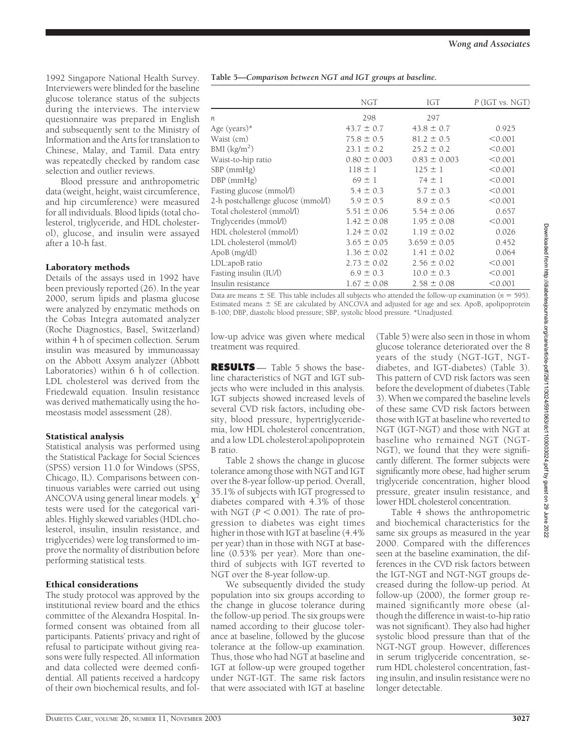1992 Singapore National Health Survey. Interviewers were blinded for the baseline glucose tolerance status of the subjects during the interviews. The interview questionnaire was prepared in English and subsequently sent to the Ministry of Information and the Arts for translation to Chinese, Malay, and Tamil. Data entry was repeatedly checked by random case selection and outlier reviews.

Blood pressure and anthropometric data (weight, height, waist circumference, and hip circumference) were measured for all individuals. Blood lipids (total cholesterol, triglyceride, and HDL cholesterol), glucose, and insulin were assayed after a 10-h fast.

#### Laboratory methods

Details of the assays used in 1992 have been previously reported (26). In the year 2000, serum lipids and plasma glucose were analyzed by enzymatic methods on the Cobas Integra automated analyzer (Roche Diagnostics, Basel, Switzerland) within 4 h of specimen collection. Serum insulin was measured by immunoassay on the Abbott Axsym analyzer (Abbott Laboratories) within 6 h of collection. LDL cholesterol was derived from the Friedewald equation. Insulin resistance was derived mathematically using the homeostasis model assessment (28).

## Statistical analysis

Statistical analysis was performed using the Statistical Package for Social Sciences (SPSS) version 11.0 for Windows (SPSS, Chicago, IL). Comparisons between continuous variables were carried out using ANCOVA using general linear models.  $\chi^2$ tests were used for the categorical variables. Highly skewed variables (HDL cholesterol, insulin, insulin resistance, and triglycerides) were log transformed to improve the normality of distribution before performing statistical tests.

## Ethical considerations

The study protocol was approved by the institutional review board and the ethics committee of the Alexandra Hospital. Informed consent was obtained from all participants. Patients' privacy and right of refusal to participate without giving reasons were fully respected. All information and data collected were deemed confidential. All patients received a hardcopy of their own biochemical results, and fol-

|                                    | NGT              | IGT              | $P$ (IGT vs. NGT) |
|------------------------------------|------------------|------------------|-------------------|
| $\eta$                             | 298              | 297              |                   |
| Age (years)*                       | $43.7 \pm 0.7$   | $43.8 \pm 0.7$   | 0.925             |
| Waist (cm)                         | $75.8 \pm 0.5$   | $81.2 \pm 0.5$   | < 0.001           |
| BMI $(kg/m2)$                      | $23.1 \pm 0.2$   | $25.2 \pm 0.2$   | < 0.001           |
| Waist-to-hip ratio                 | $0.80 \pm 0.003$ | $0.83 \pm 0.003$ | < 0.001           |
| $SBP$ (mm $Hg$ )                   | $118 \pm 1$      | $125 \pm 1$      | < 0.001           |
| $DBP$ (mmHg)                       | $69 \pm 1$       | $74 \pm 1$       | < 0.001           |
| Fasting glucose (mmol/l)           | $5.4 \pm 0.3$    | $5.7 \pm 0.3$    | < 0.001           |
| 2-h postchallenge glucose (mmol/l) | $5.9 \pm 0.5$    | $8.9 \pm 0.5$    | < 0.001           |
| Total cholesterol (mmol/l)         | $5.51 \pm 0.06$  | $5.54 \pm 0.06$  | 0.657             |
| Triglycerides (mmol/l)             | $1.42 \pm 0.08$  | $1.95 \pm 0.08$  | < 0.001           |
| HDL cholesterol (mmol/l)           | $1.24 \pm 0.02$  | $1.19 \pm 0.02$  | 0.026             |
| LDL cholesterol (mmol/l)           | $3.65 \pm 0.05$  | $3.659 \pm 0.05$ | 0.452             |
| ApoB (mg/dl)                       | $1.36 \pm 0.02$  | $1.41 \pm 0.02$  | 0.064             |
| LDL:apoB ratio                     | $2.73 \pm 0.02$  | $2.56 \pm 0.02$  | < 0.001           |
| Fasting insulin (IU/l)             | $6.9 \pm 0.3$    | $10.0 \pm 0.3$   | < 0.001           |
| Insulin resistance                 | $1.67 \pm 0.08$  | $2.58 \pm 0.08$  | < 0.001           |

Data are means  $\pm$  SE. This table includes all subjects who attended the follow-up examination ( $n = 595$ ). Estimated means  $\pm$  SE are calculated by ANCOVA and adjusted for age and sex. ApoB, apolipoprotein B-100; DBP, diastolic blood pressure; SBP, systolic blood pressure. \*Unadjusted.

low-up advice was given where medical treatment was required.

**RESULTS** — Table 5 shows the baseline characteristics of NGT and IGT subjects who were included in this analysis. IGT subjects showed increased levels of several CVD risk factors, including obesity, blood pressure, hypertriglyceridemia, low HDL cholesterol concentration, and a low LDL cholesterol:apolipoprotein B ratio.

Table 2 shows the change in glucose tolerance among those with NGT and IGT over the 8-year follow-up period. Overall, 35.1% of subjects with IGT progressed to diabetes compared with 4.3% of those with NGT ( $P < 0.001$ ). The rate of progression to diabetes was eight times higher in those with IGT at baseline (4.4% per year) than in those with NGT at baseline (0.53% per year). More than onethird of subjects with IGT reverted to NGT over the 8-year follow-up.

We subsequently divided the study population into six groups according to the change in glucose tolerance during the follow-up period. The six groups were named according to their glucose tolerance at baseline, followed by the glucose tolerance at the follow-up examination. Thus, those who had NGT at baseline and IGT at follow-up were grouped together under NGT-IGT. The same risk factors that were associated with IGT at baseline

(Table 5) were also seen in those in whom glucose tolerance deteriorated over the 8 years of the study (NGT-IGT, NGTdiabetes, and IGT-diabetes) (Table 3). This pattern of CVD risk factors was seen before the development of diabetes (Table 3). When we compared the baseline levels of these same CVD risk factors between those with IGT at baseline who reverted to NGT (IGT-NGT) and those with NGT at baseline who remained NGT (NGT-NGT), we found that they were significantly different. The former subjects were significantly more obese, had higher serum triglyceride concentration, higher blood pressure, greater insulin resistance, and lower HDL cholesterol concentration.

Table 4 shows the anthropometric and biochemical characteristics for the same six groups as measured in the year 2000. Compared with the differences seen at the baseline examination, the differences in the CVD risk factors between the IGT-NGT and NGT-NGT groups decreased during the follow-up period. At follow-up (2000), the former group remained significantly more obese (although the difference in waist-to-hip ratio was not significant). They also had higher systolic blood pressure than that of the NGT-NGT group. However, differences in serum triglyceride concentration, serum HDL cholesterol concentration, fasting insulin, and insulin resistance were no longer detectable.

**Table 5—***Comparison between NGT and IGT groups at baseline.*

Downloaded from http://diabetesjournals.org/care/article-pdf/26/11/3024/591063/dc1103003024.pdf by guest on 29 June 2022 Downloaded from http://diabetesjournals.org/care/article-pdf/26/11/3024/591063/dc1103003024.pdf by guest on 29 June 2022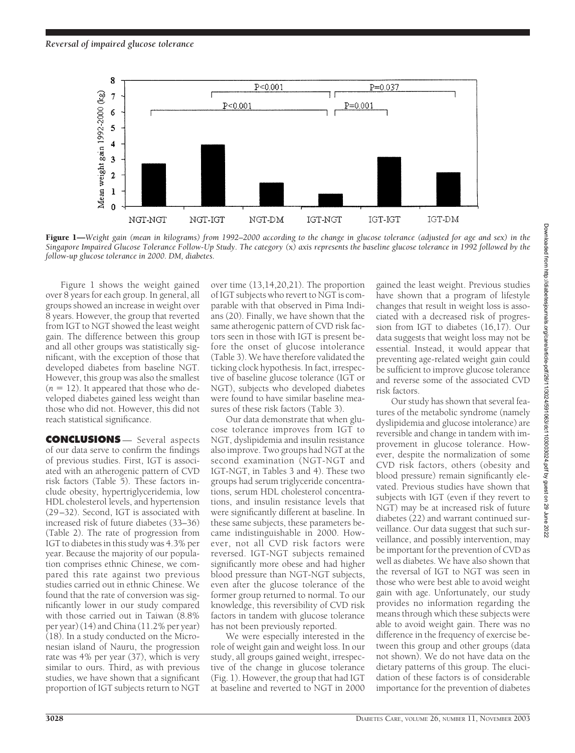

Figure 1—*Weight gain (mean in kilograms) from 1992–2000 according to the change in glucose tolerance (adjusted for age and sex) in the Singapore Impaired Glucose Tolerance Follow-Up Study. The category (*x*) axis represents the baseline glucose tolerance in 1992 followed by the follow-up glucose tolerance in 2000. DM, diabetes.*

Figure 1 shows the weight gained over 8 years for each group. In general, all groups showed an increase in weight over 8 years. However, the group that reverted from IGT to NGT showed the least weight gain. The difference between this group and all other groups was statistically significant, with the exception of those that developed diabetes from baseline NGT. However, this group was also the smallest  $(n = 12)$ . It appeared that those who developed diabetes gained less weight than those who did not. However, this did not reach statistical significance.

**CONCLUSIONS** — Several aspects of our data serve to confirm the findings of previous studies. First, IGT is associated with an atherogenic pattern of CVD risk factors (Table 5). These factors include obesity, hypertriglyceridemia, low HDL cholesterol levels, and hypertension (29–32). Second, IGT is associated with increased risk of future diabetes (33–36) (Table 2). The rate of progression from IGT to diabetes in this study was 4.3% per year. Because the majority of our population comprises ethnic Chinese, we compared this rate against two previous studies carried out in ethnic Chinese. We found that the rate of conversion was significantly lower in our study compared with those carried out in Taiwan (8.8% per year) (14) and China (11.2% per year) (18). In a study conducted on the Micronesian island of Nauru, the progression rate was 4% per year (37), which is very similar to ours. Third, as with previous studies, we have shown that a significant proportion of IGT subjects return to NGT

over time (13,14,20,21). The proportion of IGT subjects who revert to NGT is comparable with that observed in Pima Indians (20). Finally, we have shown that the same atherogenic pattern of CVD risk factors seen in those with IGT is present before the onset of glucose intolerance (Table 3). We have therefore validated the ticking clock hypothesis. In fact, irrespective of baseline glucose tolerance (IGT or NGT), subjects who developed diabetes were found to have similar baseline measures of these risk factors (Table 3).

Our data demonstrate that when glucose tolerance improves from IGT to NGT, dyslipidemia and insulin resistance also improve. Two groups had NGT at the second examination (NGT-NGT and IGT-NGT, in Tables 3 and 4). These two groups had serum triglyceride concentrations, serum HDL cholesterol concentrations, and insulin resistance levels that were significantly different at baseline. In these same subjects, these parameters became indistinguishable in 2000. However, not all CVD risk factors were reversed. IGT-NGT subjects remained significantly more obese and had higher blood pressure than NGT-NGT subjects, even after the glucose tolerance of the former group returned to normal. To our knowledge, this reversibility of CVD risk factors in tandem with glucose tolerance has not been previously reported.

We were especially interested in the role of weight gain and weight loss. In our study, all groups gained weight, irrespective of the change in glucose tolerance (Fig. 1). However, the group that had IGT at baseline and reverted to NGT in 2000

gained the least weight. Previous studies have shown that a program of lifestyle changes that result in weight loss is associated with a decreased risk of progression from IGT to diabetes (16,17). Our data suggests that weight loss may not be essential. Instead, it would appear that preventing age-related weight gain could be sufficient to improve glucose tolerance and reverse some of the associated CVD risk factors.

Our study has shown that several features of the metabolic syndrome (namely dyslipidemia and glucose intolerance) are reversible and change in tandem with improvement in glucose tolerance. However, despite the normalization of some CVD risk factors, others (obesity and blood pressure) remain significantly elevated. Previous studies have shown that subjects with IGT (even if they revert to NGT) may be at increased risk of future diabetes (22) and warrant continued surveillance. Our data suggest that such surveillance, and possibly intervention, may be important for the prevention of CVD as well as diabetes. We have also shown that the reversal of IGT to NGT was seen in those who were best able to avoid weight gain with age. Unfortunately, our study provides no information regarding the means through which these subjects were able to avoid weight gain. There was no difference in the frequency of exercise between this group and other groups (data not shown). We do not have data on the dietary patterns of this group. The elucidation of these factors is of considerable importance for the prevention of diabetes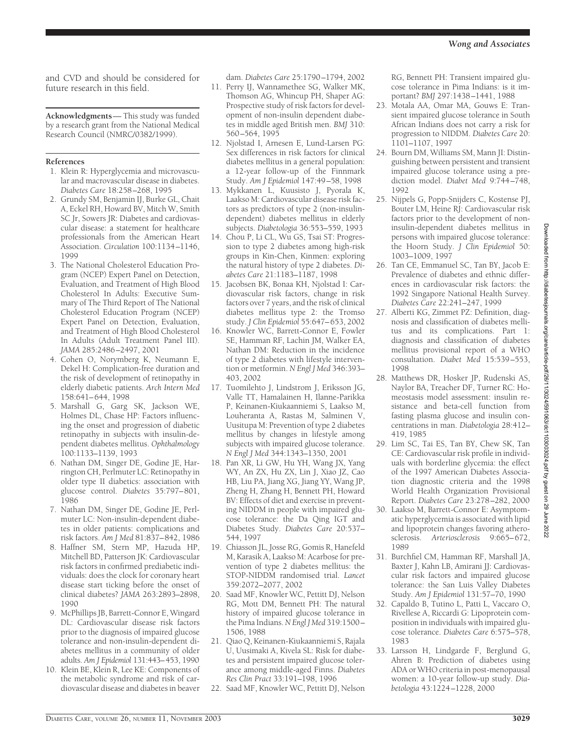and CVD and should be considered for future research in this field.

**Acknowledgments**— This study was funded by a research grant from the National Medical Research Council (NMRC/0382/1999).

#### **References**

- 1. Klein R: Hyperglycemia and microvascular and macrovascular disease in diabetes. *Diabetes Care* 18:258–268, 1995
- 2. Grundy SM, Benjamin IJ, Burke GL, Chait A, Eckel RH, Howard BV, Mitch W, Smith SC Jr, Sowers JR: Diabetes and cardiovascular disease: a statement for healthcare professionals from the American Heart Association. *Circulation* 100:1134–1146, 1999
- 3. The National Cholesterol Education Program (NCEP) Expert Panel on Detection, Evaluation, and Treatment of High Blood Cholesterol In Adults: Executive Summary of The Third Report of The National Cholesterol Education Program (NCEP) Expert Panel on Detection, Evaluation, and Treatment of High Blood Cholesterol In Adults (Adult Treatment Panel III). *JAMA* 285:2486–2497, 2001
- 4. Cohen O, Norymberg K, Neumann E, Dekel H: Complication-free duration and the risk of development of retinopathy in elderly diabetic patients. *Arch Intern Med* 158:641–644, 1998
- 5. Marshall G, Garg SK, Jackson WE, Holmes DL, Chase HP: Factors influencing the onset and progression of diabetic retinopathy in subjects with insulin-dependent diabetes mellitus. *Ophthalmology* 100:1133–1139, 1993
- 6. Nathan DM, Singer DE, Godine JE, Harrington CH, Perlmuter LC: Retinopathy in older type II diabetics: association with glucose control. *Diabetes* 35:797–801, 1986
- 7. Nathan DM, Singer DE, Godine JE, Perlmuter LC: Non-insulin-dependent diabetes in older patients: complications and risk factors. *Am J Med* 81:837–842, 1986
- 8. Haffner SM, Stern MP, Hazuda HP, Mitchell BD, Patterson JK: Cardiovascular risk factors in confirmed prediabetic individuals: does the clock for coronary heart disease start ticking before the onset of clinical diabetes? *JAMA* 263:2893–2898, 1990
- 9. McPhillips JB, Barrett-Connor E, Wingard DL: Cardiovascular disease risk factors prior to the diagnosis of impaired glucose tolerance and non-insulin-dependent diabetes mellitus in a community of older adults. *Am J Epidemiol* 131:443–453, 1990
- 10. Klein BE, Klein R, Lee KE: Components of the metabolic syndrome and risk of cardiovascular disease and diabetes in beaver

dam. *Diabetes Care* 25:1790–1794, 2002

- 11. Perry IJ, Wannamethee SG, Walker MK, Thomson AG, Whincup PH, Shaper AG: Prospective study of risk factors for development of non-insulin dependent diabetes in middle aged British men. *BMJ* 310: 560–564, 1995
- 12. Njolstad I, Arnesen E, Lund-Larsen PG: Sex differences in risk factors for clinical diabetes mellitus in a general population: a 12-year follow-up of the Finnmark Study. *Am J Epidemiol* 147:49–58, 1998
- 13. Mykkanen L, Kuusisto J, Pyorala K, Laakso M: Cardiovascular disease risk factors as predictors of type 2 (non-insulindependent) diabetes mellitus in elderly subjects. *Diabetologia* 36:553–559, 1993
- 14. Chou P, Li CL, Wu GS, Tsai ST: Progression to type 2 diabetes among high-risk groups in Kin-Chen, Kinmen: exploring the natural history of type 2 diabetes. *Diabetes Care* 21:1183–1187, 1998
- 15. Jacobsen BK, Bonaa KH, Njolstad I: Cardiovascular risk factors, change in risk factors over 7 years, and the risk of clinical diabetes mellitus type 2: the Tromso study. *J Clin Epidemiol* 55:647–653, 2002
- 16. Knowler WC, Barrett-Connor E, Fowler SE, Hamman RF, Lachin JM, Walker EA, Nathan DM: Reduction in the incidence of type 2 diabetes with lifestyle intervention or metformin. *N Engl J Med* 346:393– 403, 2002
- 17. Tuomilehto J, Lindstrom J, Eriksson JG, Valle TT, Hamalainen H, Ilanne-Parikka P, Keinanen-Kiukaanniemi S, Laakso M, Louheranta A, Rastas M, Salminen V, Uusitupa M: Prevention of type 2 diabetes mellitus by changes in lifestyle among subjects with impaired glucose tolerance. *N Engl J Med* 344:1343–1350, 2001
- 18. Pan XR, Li GW, Hu YH, Wang JX, Yang WY, An ZX, Hu ZX, Lin J, Xiao JZ, Cao HB, Liu PA, Jiang XG, Jiang YY, Wang JP, Zheng H, Zhang H, Bennett PH, Howard BV: Effects of diet and exercise in preventing NIDDM in people with impaired glucose tolerance: the Da Qing IGT and Diabetes Study. *Diabetes Care* 20:537– 544, 1997
- 19. Chiasson JL, Josse RG, Gomis R, Hanefeld M, Karasik A, Laakso M: Acarbose for prevention of type 2 diabetes mellitus: the STOP-NIDDM randomised trial. *Lancet* 359:2072–2077, 2002
- 20. Saad MF, Knowler WC, Pettitt DJ, Nelson RG, Mott DM, Bennett PH: The natural history of impaired glucose tolerance in the Pima Indians.*N Engl J Med* 319:1500– 1506, 1988
- 21. Qiao Q, Keinanen-Kiukaanniemi S, Rajala U, Uusimaki A, Kivela SL: Risk for diabetes and persistent impaired glucose tolerance among middle-aged Finns. *Diabetes Res Clin Pract* 33:191–198, 1996
- 22. Saad MF, Knowler WC, Pettitt DJ, Nelson

RG, Bennett PH: Transient impaired glucose tolerance in Pima Indians: is it important? *BMJ* 297:1438–1441, 1988

- 23. Motala AA, Omar MA, Gouws E: Transient impaired glucose tolerance in South African Indians does not carry a risk for progression to NIDDM. *Diabetes Care* 20: 1101–1107, 1997
- 24. Bourn DM, Williams SM, Mann JI: Distinguishing between persistent and transient impaired glucose tolerance using a prediction model. *Diabet Med* 9:744–748, 1992
- 25. Nijpels G, Popp-Snijders C, Kostense PJ, Bouter LM, Heine RJ: Cardiovascular risk factors prior to the development of noninsulin-dependent diabetes mellitus in persons with impaired glucose tolerance: the Hoorn Study. *J Clin Epidemiol* 50: 1003–1009, 1997
- 26. Tan CE, Emmanuel SC, Tan BY, Jacob E: Prevalence of diabetes and ethnic differences in cardiovascular risk factors: the 1992 Singapore National Health Survey. *Diabetes Care* 22:241–247, 1999
- 27. Alberti KG, Zimmet PZ: Definition, diagnosis and classification of diabetes mellitus and its complications. Part 1: diagnosis and classification of diabetes mellitus provisional report of a WHO consultation. *Diabet Med* 15:539–553, 1998
- 28. Matthews DR, Hosker JP, Rudenski AS, Naylor BA, Treacher DF, Turner RC: Homeostasis model assessment: insulin resistance and beta-cell function from fasting plasma glucose and insulin concentrations in man. *Diabetologia* 28:412– 419, 1985
- 29. Lim SC, Tai ES, Tan BY, Chew SK, Tan CE: Cardiovascular risk profile in individuals with borderline glycemia: the effect of the 1997 American Diabetes Association diagnostic criteria and the 1998 World Health Organization Provisional Report. *Diabetes Care* 23:278–282, 2000
- 30. Laakso M, Barrett-Connor E: Asymptomatic hyperglycemia is associated with lipid and lipoprotein changes favoring atherosclerosis. *Arteriosclerosis* 9:665–672, 1989
- 31. Burchfiel CM, Hamman RF, Marshall JA, Baxter J, Kahn LB, Amirani JJ: Cardiovascular risk factors and impaired glucose tolerance: the San Luis Valley Diabetes Study. *Am J Epidemiol* 131:57–70, 1990
- 32. Capaldo B, Tutino L, Patti L, Vaccaro O, Rivellese A, Riccardi G: Lipoprotein composition in individuals with impaired glucose tolerance. *Diabetes Care* 6:575–578, 1983
- 33. Larsson H, Lindgarde F, Berglund G, Ahren B: Prediction of diabetes using ADA or WHO criteria in post-menopausal women: a 10-year follow-up study. *Diabetologia* 43:1224–1228, 2000